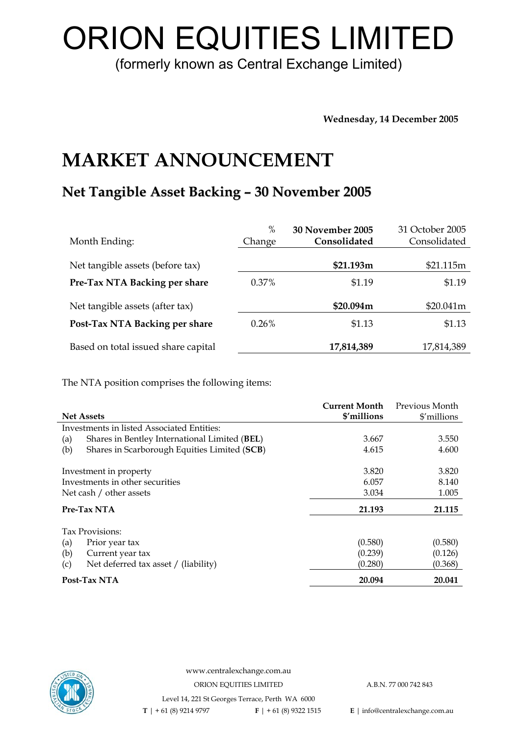# ORION EQUITIES LIMITED

(formerly known as Central Exchange Limited)

**Wednesday, 14 December 2005** 

## **MARKET ANNOUNCEMENT**

## **Net Tangible Asset Backing – 30 November 2005**

| Month Ending:                       | $\%$<br>Change | 30 November 2005<br>Consolidated | 31 October 2005<br>Consolidated |
|-------------------------------------|----------------|----------------------------------|---------------------------------|
| Net tangible assets (before tax)    |                | \$21.193m                        | \$21.115m                       |
| Pre-Tax NTA Backing per share       | $0.37\%$       | \$1.19                           | \$1.19                          |
| Net tangible assets (after tax)     |                | \$20.094m                        | \$20.041m                       |
| Post-Tax NTA Backing per share      | 0.26%          | \$1.13                           | \$1.13                          |
| Based on total issued share capital |                | 17,814,389                       | 17,814,389                      |

The NTA position comprises the following items:

| <b>Net Assets</b>                                    | <b>Current Month</b><br>\$'millions | Previous Month<br>\$'millions |
|------------------------------------------------------|-------------------------------------|-------------------------------|
| Investments in listed Associated Entities:           |                                     |                               |
| Shares in Bentley International Limited (BEL)<br>(a) | 3.667                               | 3.550                         |
| Shares in Scarborough Equities Limited (SCB)<br>(b)  | 4.615                               | 4.600                         |
| Investment in property                               | 3.820                               | 3.820                         |
| Investments in other securities                      | 6.057                               | 8.140                         |
| Net cash / other assets                              | 3.034                               | 1.005                         |
| Pre-Tax NTA                                          | 21.193                              | 21.115                        |
| Tax Provisions:                                      |                                     |                               |
| (a)<br>Prior year tax                                | (0.580)                             | (0.580)                       |
| (b)<br>Current year tax                              | (0.239)                             | (0.126)                       |
| Net deferred tax asset / (liability)<br>(c)          | (0.280)                             | (0.368)                       |
| Post-Tax NTA                                         | 20.094                              | 20.041                        |



www.centralexchange.com.au ORION EQUITIES LIMITED A.B.N. 77 000 742 843 Level 14, 221 St Georges Terrace, Perth WA 6000

 **T** | + 61 (8) 9214 9797 **F** | + 61 (8) 9322 1515 **E** | info@centralexchange.com.au